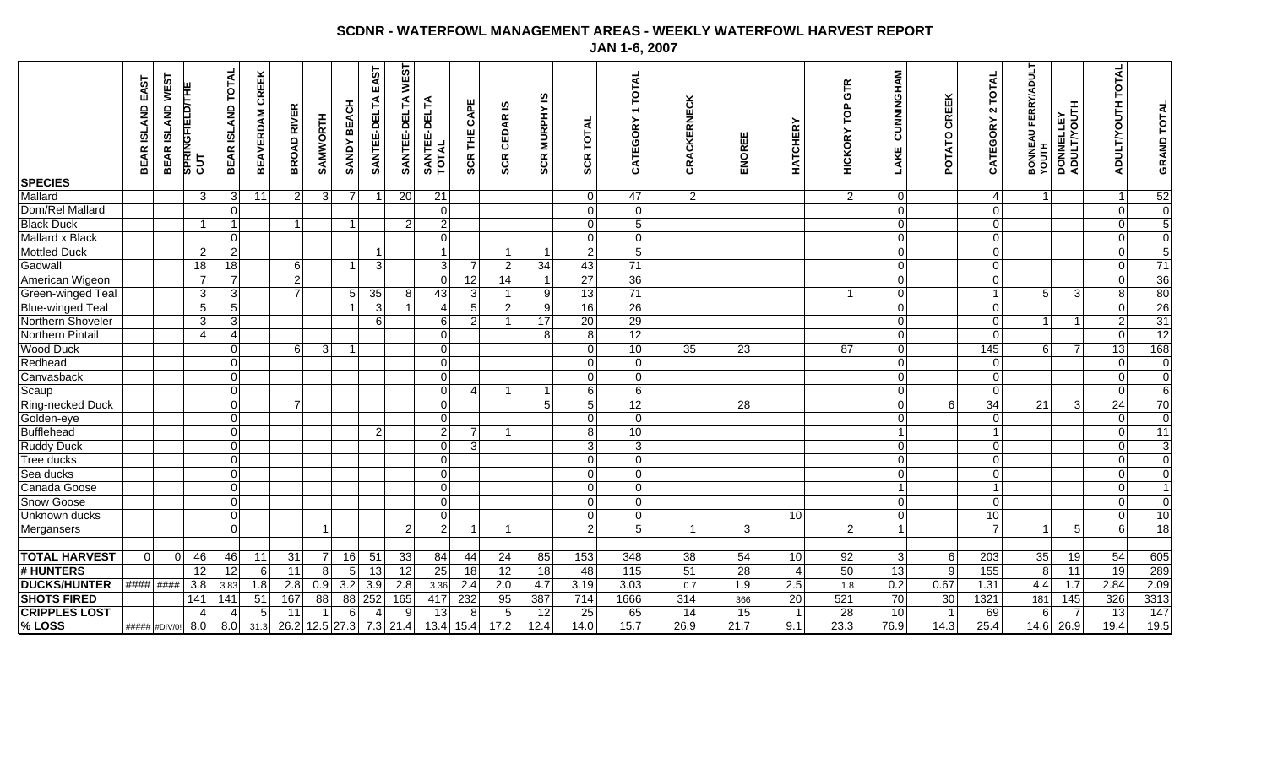## **SCDNR - WATERFOWL MANAGEMENT AREAS - WEEKLY WATERFOWL HARVEST REPORT JAN 1-6, 2007**

| <b>CRIPPLES LOST</b><br>%LOSS | <b>SHOTS FIRED</b> | <b>DUCKS/HUNTER</b> | # HUNTERS         | <b>TOTAL HARVEST</b>       | Mergansers     |                | Snow Goose<br>Unknown ducks      |          | Canada Goose             | Sea ducks      | Tree ducks              | <b>Ruddy Duck</b> | <b>Bufflehead</b> | Ring-necked Duck<br>Golden-eye | Scaup                         | Canvasback                   | Redhead        | <b>Wood Duck</b> | Northern Pintail | Northern Shoveler | <b>Blue-winged Teal</b> | Green-winged Teal | American Wigeon | Gadwall         | <b>Mottled Duck</b> | <b>Mallard x Black</b> | <b>Black Duck</b> | Dom/Rel Mallard | Mallard         | <b>SPECIES</b> |                                                      |
|-------------------------------|--------------------|---------------------|-------------------|----------------------------|----------------|----------------|----------------------------------|----------|--------------------------|----------------|-------------------------|-------------------|-------------------|--------------------------------|-------------------------------|------------------------------|----------------|------------------|------------------|-------------------|-------------------------|-------------------|-----------------|-----------------|---------------------|------------------------|-------------------|-----------------|-----------------|----------------|------------------------------------------------------|
| ##### #DIV/0!                 |                    | #### ####           |                   | $\overline{0}$<br>$\Omega$ |                |                |                                  |          |                          |                |                         |                   |                   |                                |                               |                              |                |                  |                  |                   |                         |                   |                 |                 |                     |                        |                   |                 |                 |                | BEAR ISLAND WEST<br>EAST<br>BEAR ISLAND              |
| 4<br>8.0                      | 141                | 3.8                 | 12                | 46                         |                |                |                                  |          |                          |                |                         |                   |                   |                                |                               |                              |                |                  | 4                | 3                 | 5 <sup>1</sup>          | $\overline{3}$    | $\overline{7}$  | 18              | $\overline{2}$      |                        | $\overline{1}$    |                 | $\overline{3}$  |                | Springfield/The<br>Cut                               |
| $\overline{4}$<br>8.0         | 141                | 3.83                | 12                | 46                         |                | $\Omega$       | $\Omega$                         | $\Omega$ | 0                        | $\Omega$       | $\Omega$                | $\Omega$          | $\Omega$          | $\Omega$                       | $\Omega$                      | $\Omega$<br>$\Omega$         | $\Omega$       | $\Omega$         | 4                | 3 <sup>1</sup>    | 5 <sup>1</sup>          | 3 <sup>1</sup>    | $\overline{7}$  | 18              | $\overline{2}$      | $\overline{0}$         | $\overline{1}$    | $\Omega$        | 3 <sup>1</sup>  |                | <b>TOTAL</b><br><b>ISLAND</b><br><b>BEAR</b>         |
| 5<br>31.3                     | 51                 | 1.8                 | 6                 | 11                         |                |                |                                  |          |                          |                |                         |                   |                   |                                |                               |                              |                |                  |                  |                   |                         |                   |                 |                 |                     |                        |                   |                 | 11              |                | CREEK<br><b>BEAVERDAM</b>                            |
| 11                            | 167                | 2.8                 | 11                | 31                         |                |                |                                  |          |                          |                |                         |                   |                   |                                | $\overline{7}$                |                              |                | 6                |                  |                   |                         | $\overline{7}$    | $\mathbf{2}$    | 6               |                     |                        | $\mathbf{1}$      |                 | 2 <sub>l</sub>  |                | 띥<br><b>RIVI</b><br>۵<br>o<br>BŘ                     |
|                               | 88                 | 0.9                 |                   |                            |                |                |                                  |          |                          |                |                         |                   |                   |                                |                               |                              |                | 3                |                  |                   |                         |                   |                 |                 |                     |                        |                   |                 | 3               |                | SAMWORTH                                             |
| 6                             |                    | 3.2                 | $5\overline{)}$   | 16                         |                |                |                                  |          |                          |                |                         |                   |                   |                                |                               |                              |                | $\mathbf{1}$     |                  |                   | $\overline{1}$          | $5\phantom{.0}$   |                 | $\mathbf 1$     |                     |                        | $\mathbf{1}$      |                 | $\overline{7}$  |                | <b>BEACH</b><br><b>SANDY</b>                         |
| $\overline{4}$                | 88 252             | 3.9                 | $\overline{13}$   | 51                         |                |                |                                  |          |                          |                |                         |                   | $\overline{2}$    |                                |                               |                              |                |                  |                  | 6                 | 3                       | 35                |                 | 3               | -1                  |                        |                   |                 | -1              |                | EAST<br>SANTEE-DELTA                                 |
| 9<br>26.2 12.5 27.3 7.3 21.4  | 165                | 2.8                 | 12                | 33                         | $\overline{2}$ |                |                                  |          |                          |                |                         |                   |                   |                                |                               |                              |                |                  |                  |                   | $\overline{1}$          | 8 <sup>1</sup>    |                 |                 |                     |                        | $\overline{2}$    |                 | $\overline{20}$ |                | <b>WEST</b><br>SANTEE-DELTA                          |
| 13                            | 417                | 3.36                | 25                | 84                         | $\mathbf{2}$   |                | $\overline{0}$<br>$\mathbf 0$    |          | $\pmb{0}$                | $\overline{0}$ | $\overline{0}$          | $\mathbf 0$       | $\overline{c}$    | $\overline{0}$                 | $\overline{0}$<br>$\Omega$    | $\overline{0}$               | $\mathbf 0$    | $\overline{0}$   | $\mathbf 0$      | 6                 | 4                       | 43                | 0               | 3               | $\mathbf{1}$        | $\mathbf 0$            | $\boldsymbol{2}$  | $\overline{0}$  | $\overline{21}$ |                | SANTEE-DELTA<br>TOTAL                                |
| 8<br>$13.4$ 15.4              | 232                | 2.4                 | $\overline{18}$   | 44                         |                | 1              |                                  |          |                          |                |                         | 3 <sup>1</sup>    | $\overline{7}$    |                                | $\overline{4}$                |                              |                |                  |                  | $\overline{2}$    | 5 <sup>1</sup>          | $\sqrt{3}$        | 12              | $\overline{7}$  |                     |                        |                   |                 |                 |                | CAPE<br>٣,<br><b>SCR</b>                             |
| 5<br>17.2                     | 95                 | 2.0                 | 12                | 24                         |                |                |                                  |          |                          |                |                         |                   |                   |                                |                               |                              |                |                  |                  |                   | $\overline{2}$          |                   | 14              | $\overline{2}$  |                     |                        |                   |                 |                 |                | ۵ī<br>CEDAR<br><b>SCR</b>                            |
| 12<br>12.4                    | 387                | 4.7                 | 18                | 85                         |                |                |                                  |          |                          |                |                         |                   |                   |                                | 5 <sup>1</sup>                | $\mathbf{1}$                 |                |                  | 8 <sup>1</sup>   | 17                | 9                       | 9                 | $\overline{1}$  | $\overline{34}$ | $\overline{1}$      |                        |                   |                 |                 |                | <b>SCR MURPHY IS</b>                                 |
| 25<br>14.0                    | 714                | 3.19                | 48                | 153                        |                | $\overline{2}$ | $\overline{0}$<br>$\overline{0}$ |          | $\overline{0}$           | $\mathbf 0$    | $\mathbf 0$             | 3 <sup>1</sup>    | $\bf{8}$          | $\overline{0}$                 | $6 \mid$<br>5 <sup>1</sup>    | $\overline{0}$               | $\overline{0}$ | $\overline{0}$   | $\overline{8}$   | 20                | 16                      | 13                | $\overline{27}$ | 43              | $\overline{2}$      | $\mathbf 0$            | $\overline{0}$    | $\overline{0}$  | $\overline{0}$  |                | ₹<br>TOT<br><b>SCR</b>                               |
| 65<br>15.7                    | 1666               | 3.03                | $\frac{115}{115}$ | 348                        |                | $\overline{5}$ | $\overline{0}$<br>$\mathbf 0$    |          | $\overline{0}$           | $\overline{0}$ | $\overline{0}$          | $\overline{3}$    | 10                | $\overline{0}$                 | 6<br>12                       | $\mathbf 0$                  | $\mathbf 0$    | 10               | 12               | 29                | $\overline{26}$         | 71                | 36              | 71              | $5\overline{)}$     | $\overline{0}$         | $\overline{5}$    | $\overline{0}$  | 47              |                | <b>TOTAL</b><br>$\overline{\phantom{0}}$<br>CATEGORY |
| 14<br>26.9                    | 314                | 0.7                 | 51                | 38                         |                | -1             |                                  |          |                          |                |                         |                   |                   |                                |                               |                              |                | 35               |                  |                   |                         |                   |                 |                 |                     |                        |                   |                 | 2               |                | CRACKERNECK                                          |
| 15<br>$\overline{21.7}$       | 366                | 1.9                 | 28                | 54                         | 3              |                |                                  |          |                          |                |                         |                   |                   |                                | 28                            |                              |                | 23               |                  |                   |                         |                   |                 |                 |                     |                        |                   |                 |                 |                | ENOREE                                               |
| $\overline{1}$<br>9.1         | 20                 | 2.5                 | $\overline{4}$    | 10                         |                |                | 10                               |          |                          |                |                         |                   |                   |                                |                               |                              |                |                  |                  |                   |                         |                   |                 |                 |                     |                        |                   |                 |                 |                | <b>HATCHERY</b>                                      |
| 28<br>23.3                    | 521                | 1.8                 | 50                | 92                         | $\overline{2}$ |                |                                  |          |                          |                |                         |                   |                   |                                |                               |                              |                | 87               |                  |                   |                         |                   |                 |                 |                     |                        |                   |                 | $\overline{2}$  |                | GTR<br>p<br><b>HICKORY</b>                           |
| 10<br>76.9                    | 70                 | 0.2                 | 13                | $\mathbf{3}$               |                |                | $\Omega$                         | $\Omega$ |                          | 0              | 0                       | $\overline{0}$    |                   | $\mathbf 0$                    | $\mathbf 0$<br>$\overline{0}$ | $\overline{0}$               | $\overline{0}$ | $\overline{0}$   | $\overline{0}$   | $\mathbf 0$       | $\mathbf 0$             | $\overline{0}$    | $\overline{0}$  | $\overline{0}$  | 0                   | $\mathbf 0$            | $\overline{0}$    | $\overline{0}$  | 0               |                | CUNNINGHAM<br>LAKE                                   |
| $\overline{1}$<br>14.3        | 30                 | 0.67                | 9                 | $6 \overline{6}$           |                |                |                                  |          |                          |                |                         |                   |                   |                                | $6 \overline{6}$              |                              |                |                  |                  |                   |                         |                   |                 |                 |                     |                        |                   |                 |                 |                | CREEK<br><b>ATO</b><br><b>POL</b>                    |
| 69<br>25.4                    | 1321               | 1.31                | 155               | 203                        |                | $\overline{7}$ | 10                               | $\Omega$ | $\mathbf{1}$             | $\overline{0}$ | $\overline{0}$          | $\Omega$          |                   | $\overline{0}$                 | $\overline{0}$<br>34          | $\Omega$                     | $\mathbf{0}$   | 145              | $\overline{0}$   | $\overline{0}$    | $\overline{0}$          | $\mathbf{1}$      | $\overline{0}$  | $\Omega$        | $\overline{0}$      | $\overline{0}$         | $\Omega$          | $\Omega$        | $\overline{4}$  |                | <b>TOTAL</b><br>$\sim$<br>CATEGORY                   |
| 6<br>14.6                     | 181                | 4.4                 | 8                 | 35                         | $\mathbf{1}$   |                |                                  |          |                          |                |                         |                   |                   |                                | 21                            |                              |                | $6 \overline{6}$ |                  | $\mathbf 1$       |                         | 5 <sub>5</sub>    |                 |                 |                     |                        |                   |                 | $\vert$ 1       |                | <b>FERRY/ADULT</b><br><b>BONNEAU</b><br>YOUTH        |
| 7<br>26.9                     | 145                | 1.7                 | $\overline{11}$   | 19                         | 5              |                |                                  |          |                          |                |                         |                   |                   |                                | 3                             |                              |                | $\overline{7}$   |                  | -1                |                         | 3                 |                 |                 |                     |                        |                   |                 |                 |                | DONNELLEY<br>ADULT/YOUTH                             |
| 13<br>19.4                    | 326                | 2.84                | 19                | 54                         | 6              |                | $\mathbf 0$<br>$\Omega$          |          | 0                        | 0              | 0                       | $\Omega$          | 0                 | $\mathbf 0$                    | 0<br>24                       | $\Omega$                     | 0              | 13               | $\mathbf 0$      | $\overline{c}$    | $\mathbf 0$             | 8                 | 0               | $\Omega$        | $\mathbf 0$         | 0                      | $\mathbf 0$       | 0               | $\overline{1}$  |                | ₹<br>O<br>ą                                          |
| $\overline{147}$<br>19.5      | 3313               | 2.09                | 289               | 605                        | 18             |                | $\mathbf 0$<br>$\overline{10}$   |          | $\overline{\phantom{a}}$ | $\mathbf 0$    | $\overline{\mathsf{o}}$ | $\mathbf 3$       | 11                | $\overline{\mathbf{0}}$        | 70                            | $\pmb{0}$<br>$6\overline{6}$ | $\pmb{0}$      | 168              | 12               | 31                | 26                      | 80                | 36              | 71              | $\overline{5}$      | $\overline{0}$         | $\overline{5}$    | $\pmb{0}$       | 52              |                | <b>GRAND TOTAL</b>                                   |